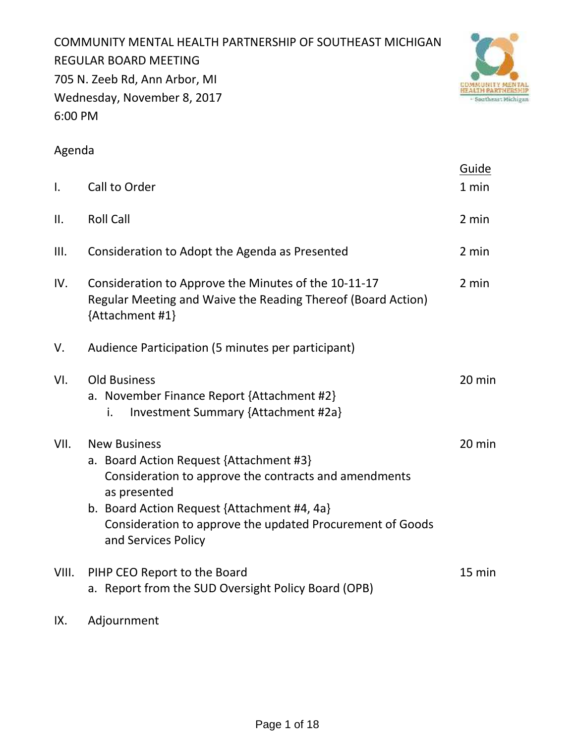COMMUNITY MENTAL HEALTH PARTNERSHIP OF SOUTHEAST MICHIGAN REGULAR BOARD MEETING 705 N. Zeeb Rd, Ann Arbor, MI Wednesday, November 8, 2017 6:00 PM



# Agenda

|                |                                                                                                                                                                                                                                                                            | Guide  |
|----------------|----------------------------------------------------------------------------------------------------------------------------------------------------------------------------------------------------------------------------------------------------------------------------|--------|
| $\mathbf{I}$ . | Call to Order                                                                                                                                                                                                                                                              | 1 min  |
| II.            | <b>Roll Call</b>                                                                                                                                                                                                                                                           | 2 min  |
| III.           | Consideration to Adopt the Agenda as Presented                                                                                                                                                                                                                             | 2 min  |
| IV.            | Consideration to Approve the Minutes of the 10-11-17<br>Regular Meeting and Waive the Reading Thereof (Board Action)<br>{Attachment #1}                                                                                                                                    | 2 min  |
| V.             | Audience Participation (5 minutes per participant)                                                                                                                                                                                                                         |        |
| VI.            | <b>Old Business</b><br>a. November Finance Report {Attachment #2}<br>Investment Summary {Attachment #2a}<br>i.                                                                                                                                                             | 20 min |
| VII.           | <b>New Business</b><br>a. Board Action Request {Attachment #3}<br>Consideration to approve the contracts and amendments<br>as presented<br>b. Board Action Request {Attachment #4, 4a}<br>Consideration to approve the updated Procurement of Goods<br>and Services Policy | 20 min |
| VIII.          | PIHP CEO Report to the Board<br>a. Report from the SUD Oversight Policy Board (OPB)                                                                                                                                                                                        | 15 min |
|                |                                                                                                                                                                                                                                                                            |        |

IX. Adjournment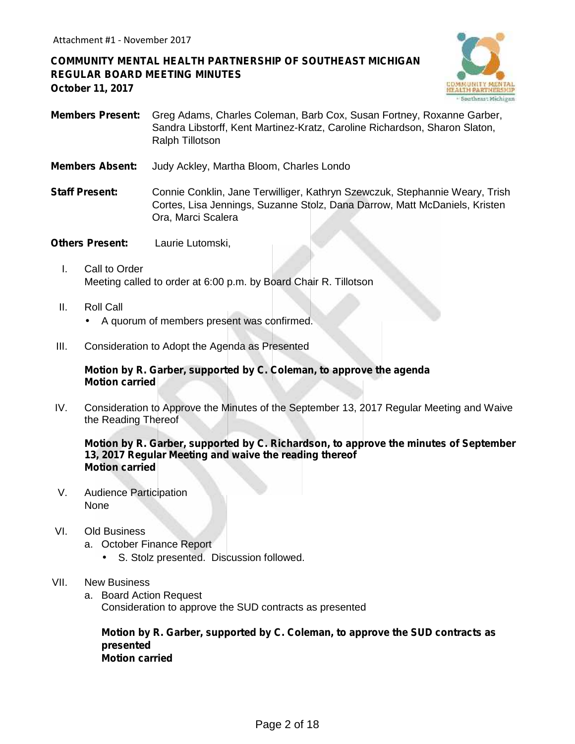## **COMMUNITY MENTAL HEALTH PARTNERSHIP OF SOUTHEAST MICHIGAN REGULAR BOARD MEETING MINUTES October 11, 2017**



- **Members Present:** Greg Adams, Charles Coleman, Barb Cox, Susan Fortney, Roxanne Garber, Sandra Libstorff, Kent Martinez-Kratz, Caroline Richardson, Sharon Slaton, Ralph Tillotson
- **Members Absent:** Judy Ackley, Martha Bloom, Charles Londo
- **Staff Present:** Connie Conklin, Jane Terwilliger, Kathryn Szewczuk, Stephannie Weary, Trish Cortes, Lisa Jennings, Suzanne Stolz, Dana Darrow, Matt McDaniels, Kristen Ora, Marci Scalera
- **Others Present:** Laurie Lutomski,
	- I. Call to Order Meeting called to order at 6:00 p.m. by Board Chair R. Tillotson
	- II. Roll Call A quorum of members present was confirmed.
- III. Consideration to Adopt the Agenda as Presented

#### **Motion by R. Garber, supported by C. Coleman, to approve the agenda Motion carried**

IV. Consideration to Approve the Minutes of the September 13, 2017 Regular Meeting and Waive the Reading Thereof

#### **Motion by R. Garber, supported by C. Richardson, to approve the minutes of September 13, 2017 Regular Meeting and waive the reading thereof Motion carried**

- V. Audience Participation None
- VI. Old Business
	- a. October Finance Report
		- S. Stolz presented. Discussion followed.
- VII. New Business
	- a. Board Action Request Consideration to approve the SUD contracts as presented

**Motion by R. Garber, supported by C. Coleman, to approve the SUD contracts as presented Motion carried**

Page 2 of 18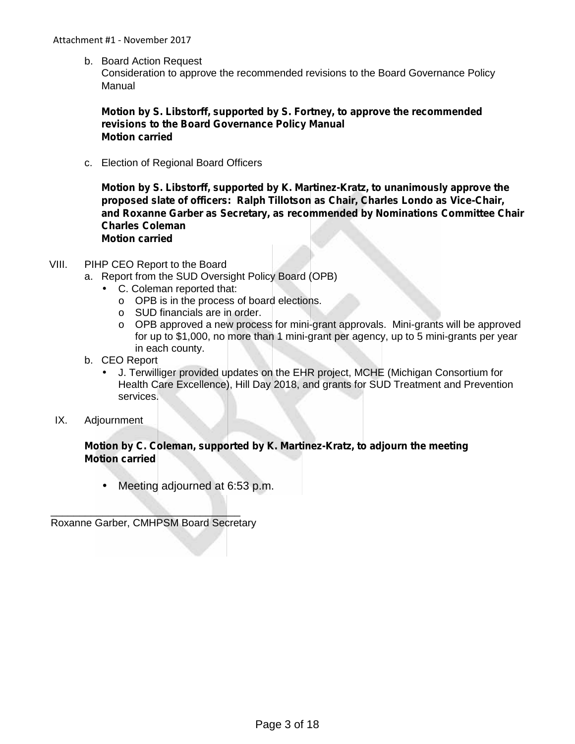b. Board Action Request

Consideration to approve the recommended revisions to the Board Governance Policy Manual

## **Motion by S. Libstorff, supported by S. Fortney, to approve the recommended revisions to the Board Governance Policy Manual Motion carried**

c. Election of Regional Board Officers

**Motion by S. Libstorff, supported by K. Martinez-Kratz, to unanimously approve the proposed slate of officers: Ralph Tillotson as Chair, Charles Londo as Vice-Chair, and Roxanne Garber as Secretary, as recommended by Nominations Committee Chair Charles Coleman Motion carried**

- VIII. PIHP CEO Report to the Board
	- a. Report from the SUD Oversight Policy Board (OPB)
		- C. Coleman reported that:
			- o OPB is in the process of board elections.
			- o SUD financials are in order.
			- $\circ$  OPB approved a new process for mini-grant approvals. Mini-grants will be approved for up to \$1,000, no more than 1 mini-grant per agency, up to 5 mini-grants per year in each county.
	- b. CEO Report
		- J. Terwilliger provided updates on the EHR project, MCHE (Michigan Consortium for Health Care Excellence), Hill Day 2018, and grants for SUD Treatment and Prevention services.
- IX. Adjournment

## **Motion by C. Coleman, supported by K. Martinez-Kratz, to adjourn the meeting Motion carried**

Meeting adjourned at 6:53 p.m.

 $\mathcal{L}=\mathcal{L}=\mathcal{L}=\mathcal{L}=\mathcal{L}=\mathcal{L}=\mathcal{L}=\mathcal{L}=\mathcal{L}=\mathcal{L}=\mathcal{L}=\mathcal{L}=\mathcal{L}=\mathcal{L}=\mathcal{L}=\mathcal{L}=\mathcal{L}=\mathcal{L}=\mathcal{L}=\mathcal{L}=\mathcal{L}=\mathcal{L}=\mathcal{L}=\mathcal{L}=\mathcal{L}=\mathcal{L}=\mathcal{L}=\mathcal{L}=\mathcal{L}=\mathcal{L}=\mathcal{L}=\mathcal{L}=\mathcal{L}=\mathcal{L}=\mathcal{L}=\mathcal{L}=\mathcal{$ Roxanne Garber, CMHPSM Board Secretary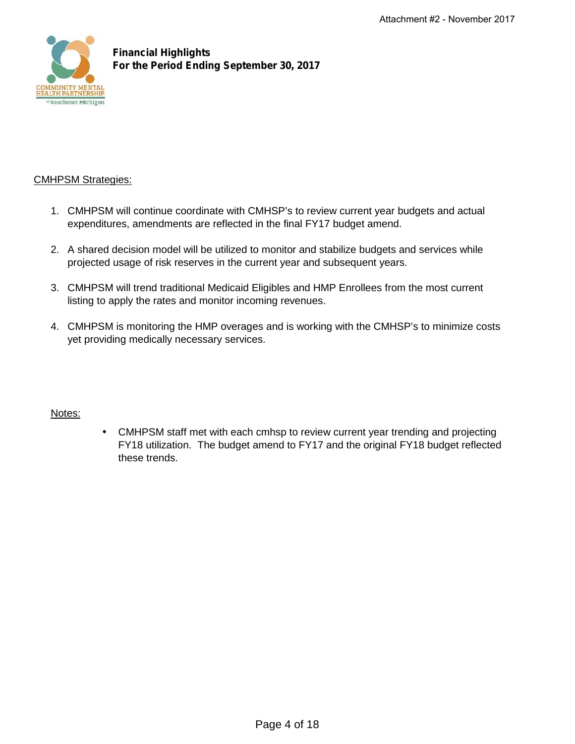

**Financial Highlights For the Period Ending September 30, 2017**

## CMHPSM Strategies:

- 1. CMHPSM will continue coordinate with CMHSP's to review current year budgets and actual expenditures, amendments are reflected in the final FY17 budget amend.
- 2. A shared decision model will be utilized to monitor and stabilize budgets and services while projected usage of risk reserves in the current year and subsequent years.
- 3. CMHPSM will trend traditional Medicaid Eligibles and HMP Enrollees from the most current listing to apply the rates and monitor incoming revenues.
- 4. CMHPSM is monitoring the HMP overages and is working with the CMHSP's to minimize costs yet providing medically necessary services.

## Notes:

 CMHPSM staff met with each cmhsp to review current year trending and projecting FY18 utilization. The budget amend to FY17 and the original FY18 budget reflected these trends.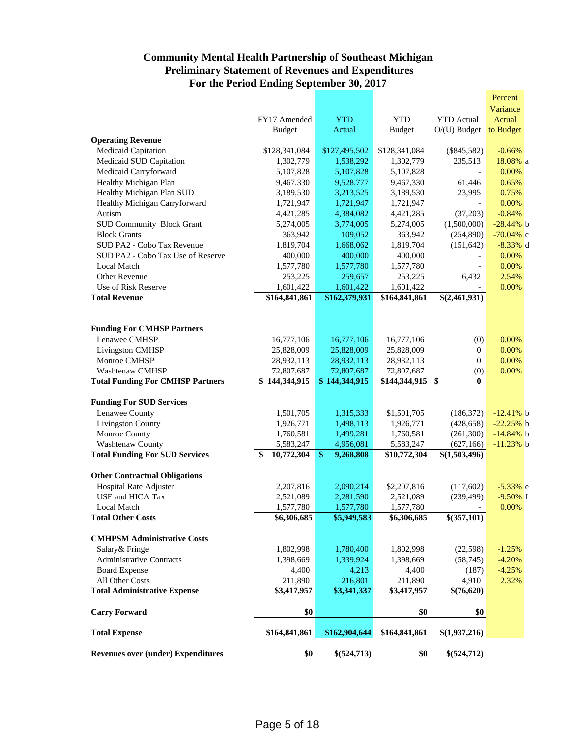## **Community Mental Health Partnership of Southeast Michigan Preliminary Statement of Revenues and Expenditures For the Period Ending September 30, 2017**

| <b>CMHPSM Administrative Costs</b><br>Salary & Fringe<br><b>Administrative Contracts</b><br><b>Board Expense</b><br>All Other Costs<br><b>Total Administrative Expense</b><br><b>Carry Forward</b><br><b>Total Expense</b> | 1,802,998<br>1,398,669<br>4,400<br>211,890<br>\$3,417,957<br>\$0<br>\$164,841,861 | 1,780,400<br>1,339,924<br>4,213<br>216,801<br>\$3,341,337<br>\$162,904,644 | 1,802,998<br>1,398,669<br>4,400<br>211,890<br>\$3,417,957<br>\$0<br>\$164,841,861 | (22,598)<br>(58, 745)<br>(187)<br>4,910<br>$\sqrt{$(76,620)}$<br>\$0<br>\$(1,937,216) | $-1.25%$<br>$-4.20%$<br>$-4.25%$<br>2.32% |
|----------------------------------------------------------------------------------------------------------------------------------------------------------------------------------------------------------------------------|-----------------------------------------------------------------------------------|----------------------------------------------------------------------------|-----------------------------------------------------------------------------------|---------------------------------------------------------------------------------------|-------------------------------------------|
|                                                                                                                                                                                                                            |                                                                                   |                                                                            |                                                                                   |                                                                                       |                                           |
|                                                                                                                                                                                                                            |                                                                                   |                                                                            |                                                                                   |                                                                                       |                                           |
|                                                                                                                                                                                                                            |                                                                                   |                                                                            |                                                                                   |                                                                                       |                                           |
|                                                                                                                                                                                                                            |                                                                                   |                                                                            |                                                                                   |                                                                                       |                                           |
|                                                                                                                                                                                                                            |                                                                                   |                                                                            |                                                                                   |                                                                                       |                                           |
|                                                                                                                                                                                                                            |                                                                                   |                                                                            |                                                                                   |                                                                                       |                                           |
|                                                                                                                                                                                                                            |                                                                                   |                                                                            |                                                                                   |                                                                                       |                                           |
|                                                                                                                                                                                                                            |                                                                                   |                                                                            |                                                                                   |                                                                                       |                                           |
| <b>Total Other Costs</b>                                                                                                                                                                                                   | \$6,306,685                                                                       | \$5,949,583                                                                | \$6,306,685                                                                       | $\sqrt{$(357,101)}$                                                                   |                                           |
| <b>Local Match</b>                                                                                                                                                                                                         | 1,577,780                                                                         | 1,577,780                                                                  | 1,577,780                                                                         | $\overline{\phantom{a}}$                                                              | 0.00%                                     |
| USE and HICA Tax                                                                                                                                                                                                           | 2,521,089                                                                         | 2,281,590                                                                  | 2,521,089                                                                         | (239, 499)                                                                            | $-9.50%$ f                                |
| Hospital Rate Adjuster                                                                                                                                                                                                     | 2,207,816                                                                         | 2,090,214                                                                  | \$2,207,816                                                                       | (117,602)                                                                             | $-5.33%$ e                                |
| <b>Other Contractual Obligations</b>                                                                                                                                                                                       |                                                                                   |                                                                            |                                                                                   |                                                                                       |                                           |
| <b>Total Funding For SUD Services</b>                                                                                                                                                                                      | 10,772,304<br>S                                                                   | $\frac{1}{2}$<br>9,268,808                                                 | \$10,772,304                                                                      | \$(1,503,496)                                                                         |                                           |
| <b>Washtenaw County</b>                                                                                                                                                                                                    | 5,583,247                                                                         | 4,956,081                                                                  | 5,583,247                                                                         | (627, 166)                                                                            | $-11.23%$ b                               |
| Monroe County                                                                                                                                                                                                              | 1,760,581                                                                         | 1,499,281                                                                  | 1,760,581                                                                         | (261,300)                                                                             | $-14.84%$ b                               |
| <b>Livingston County</b>                                                                                                                                                                                                   | 1,926,771                                                                         | 1,498,113                                                                  | 1,926,771                                                                         | (428, 658)                                                                            | $-22.25%$ b                               |
| Lenawee County                                                                                                                                                                                                             | 1,501,705                                                                         | 1,315,333                                                                  | \$1,501,705                                                                       | (186, 372)                                                                            | $-12.41%$ b                               |
| <b>Funding For SUD Services</b>                                                                                                                                                                                            |                                                                                   |                                                                            |                                                                                   |                                                                                       |                                           |
| <b>Total Funding For CMHSP Partners</b>                                                                                                                                                                                    | \$144,344,915                                                                     | \$144,344,915                                                              | \$144,344,915 \$                                                                  | 0                                                                                     |                                           |
| <b>Washtenaw CMHSP</b>                                                                                                                                                                                                     | 72,807,687                                                                        | 72,807,687                                                                 | 72,807,687                                                                        | (0)                                                                                   | 0.00%                                     |
| Monroe CMHSP                                                                                                                                                                                                               | 28,932,113                                                                        | 28,932,113                                                                 | 28,932,113                                                                        | $\overline{0}$                                                                        | 0.00%                                     |
| Livingston CMHSP                                                                                                                                                                                                           | 25,828,009                                                                        | 25,828,009                                                                 | 25,828,009                                                                        | 0                                                                                     | 0.00%                                     |
| Lenawee CMHSP                                                                                                                                                                                                              | 16,777,106                                                                        | 16,777,106                                                                 | 16,777,106                                                                        | (0)                                                                                   | 0.00%                                     |
| <b>Funding For CMHSP Partners</b>                                                                                                                                                                                          |                                                                                   |                                                                            |                                                                                   |                                                                                       |                                           |
|                                                                                                                                                                                                                            |                                                                                   |                                                                            |                                                                                   |                                                                                       |                                           |
| <b>Total Revenue</b>                                                                                                                                                                                                       | \$164,841,861                                                                     | \$162,379,931                                                              | \$164,841,861                                                                     | \$(2,461,931)                                                                         |                                           |
| Use of Risk Reserve                                                                                                                                                                                                        | 1,601,422                                                                         | 1,601,422                                                                  | 1,601,422                                                                         |                                                                                       | 0.00%                                     |
| Other Revenue                                                                                                                                                                                                              | 253,225                                                                           | 259,657                                                                    | 253,225                                                                           | 6,432                                                                                 | 2.54%                                     |
| Local Match                                                                                                                                                                                                                | 1,577,780                                                                         | 1,577,780                                                                  | 1,577,780                                                                         | $\overline{\phantom{a}}$                                                              | 0.00%                                     |
| SUD PA2 - Cobo Tax Use of Reserve                                                                                                                                                                                          | 400,000                                                                           | 400,000                                                                    | 400,000                                                                           |                                                                                       | 0.00%                                     |
| SUD PA2 - Cobo Tax Revenue                                                                                                                                                                                                 | 1,819,704                                                                         | 1,668,062                                                                  | 1,819,704                                                                         | (151, 642)                                                                            | $-8.33%$ d                                |
| <b>Block Grants</b>                                                                                                                                                                                                        | 363,942                                                                           | 109,052                                                                    | 363,942                                                                           | (254,890)                                                                             | $-70.04\%$ c                              |
| <b>SUD Community Block Grant</b>                                                                                                                                                                                           | 4,421,285<br>5,274,005                                                            | 4,384,082<br>3,774,005                                                     | 4,421,285<br>5,274,005                                                            | (37,203)<br>(1,500,000)                                                               | $-0.84%$<br>$-28.44%$ b                   |
| Healthy Michigan Carryforward<br>Autism                                                                                                                                                                                    | 1,721,947                                                                         | 1,721,947                                                                  | 1,721,947                                                                         |                                                                                       | 0.00%                                     |
| Healthy Michigan Plan SUD                                                                                                                                                                                                  | 3,189,530                                                                         | 3,213,525                                                                  | 3,189,530                                                                         | 23,995                                                                                | 0.75%                                     |
| Healthy Michigan Plan                                                                                                                                                                                                      | 9,467,330                                                                         | 9,528,777                                                                  | 9,467,330                                                                         | 61,446                                                                                | 0.65%                                     |
| Medicaid Carryforward                                                                                                                                                                                                      | 5,107,828                                                                         | 5,107,828                                                                  | 5,107,828                                                                         |                                                                                       | 0.00%                                     |
| Medicaid SUD Capitation                                                                                                                                                                                                    | 1,302,779                                                                         | 1,538,292                                                                  | 1,302,779                                                                         | 235,513                                                                               | 18.08% a                                  |
| Medicaid Capitation                                                                                                                                                                                                        | \$128,341,084                                                                     | \$127,495,502                                                              | \$128,341,084                                                                     | $(\$845,582)$                                                                         | $-0.66%$                                  |
| <b>Operating Revenue</b>                                                                                                                                                                                                   |                                                                                   |                                                                            |                                                                                   |                                                                                       |                                           |
|                                                                                                                                                                                                                            | <b>Budget</b>                                                                     | Actual                                                                     | <b>Budget</b>                                                                     | $O/(U)$ Budget                                                                        | to Budget                                 |
|                                                                                                                                                                                                                            | FY17 Amended                                                                      | <b>YTD</b>                                                                 | <b>YTD</b>                                                                        | <b>YTD</b> Actual                                                                     | Actual                                    |
|                                                                                                                                                                                                                            |                                                                                   |                                                                            |                                                                                   |                                                                                       |                                           |
|                                                                                                                                                                                                                            |                                                                                   |                                                                            |                                                                                   |                                                                                       | Variance                                  |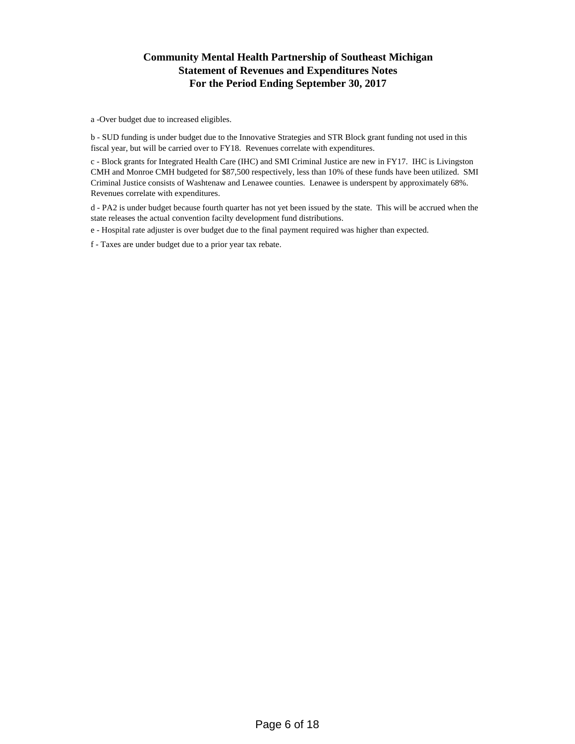## **Community Mental Health Partnership of Southeast Michigan Statement of Revenues and Expenditures Notes For the Period Ending September 30, 2017**

a -Over budget due to increased eligibles.

b - SUD funding is under budget due to the Innovative Strategies and STR Block grant funding not used in this fiscal year, but will be carried over to FY18. Revenues correlate with expenditures.

c - Block grants for Integrated Health Care (IHC) and SMI Criminal Justice are new in FY17. IHC is Livingston CMH and Monroe CMH budgeted for \$87,500 respectively, less than 10% of these funds have been utilized. SMI Criminal Justice consists of Washtenaw and Lenawee counties. Lenawee is underspent by approximately 68%. Revenues correlate with expenditures.

d - PA2 is under budget because fourth quarter has not yet been issued by the state. This will be accrued when the state releases the actual convention facilty development fund distributions.

e - Hospital rate adjuster is over budget due to the final payment required was higher than expected.

f - Taxes are under budget due to a prior year tax rebate.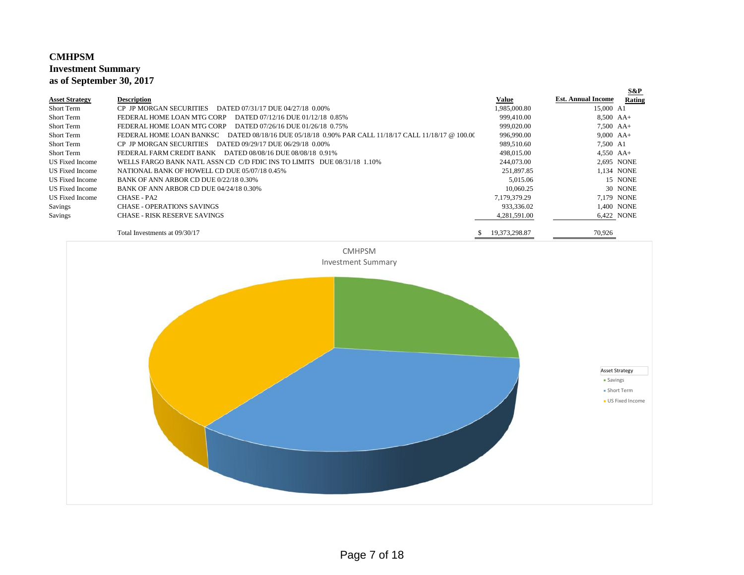#### **CMHPSM Investment Summary as of September 30, 2017**

|                       |                                                                                                        |               |                           | <b>S&amp;P</b> |
|-----------------------|--------------------------------------------------------------------------------------------------------|---------------|---------------------------|----------------|
| <b>Asset Strategy</b> | <b>Description</b>                                                                                     | Value         | <b>Est. Annual Income</b> | Rating         |
| Short Term            | CP JP MORGAN SECURITIES<br>DATED 07/31/17 DUE 04/27/18 0.00%                                           | 1,985,000.80  | 15,000 A1                 |                |
| Short Term            | FEDERAL HOME LOAN MTG CORP<br>DATED 07/12/16 DUE 01/12/18 0.85%                                        | 999,410.00    | $8,500$ AA+               |                |
| Short Term            | DATED 07/26/16 DUE 01/26/18 0.75%<br>FEDERAL HOME LOAN MTG CORP                                        | 999,020.00    | $7.500$ AA+               |                |
| Short Term            | DATED 08/18/16 DUE 05/18/18 0.90% PAR CALL 11/18/17 CALL 11/18/17 @ 100.00<br>FEDERAL HOME LOAN BANKSC | 996,990.00    | $9,000$ AA+               |                |
| Short Term            | <b>CP JP MORGAN SECURITIES</b><br>DATED 09/29/17 DUE 06/29/18 0.00%                                    | 989,510.60    | 7,500 A1                  |                |
| Short Term            | FEDERAL FARM CREDIT BANK<br>DATED 08/08/16 DUE 08/08/18 0.91%                                          | 498,015.00    | $4,550$ AA+               |                |
| US Fixed Income       | WELLS FARGO BANK NATL ASSN CD C/D FDIC INS TO LIMITS DUE 08/31/18 1.10%                                | 244,073.00    |                           | 2,695 NONE     |
| US Fixed Income       | NATIONAL BANK OF HOWELL CD DUE 05/07/18 0.45%                                                          | 251,897.85    |                           | 1.134 NONE     |
| US Fixed Income       | <b>BANK OF ANN ARBOR CD DUE 0/22/18 0.30%</b>                                                          | 5,015.06      |                           | 15 NONE        |
| US Fixed Income       | BANK OF ANN ARBOR CD DUE 04/24/18 0.30%                                                                | 10.060.25     |                           | 30 NONE        |
| US Fixed Income       | CHASE - PA2                                                                                            | 7.179.379.29  |                           | 7.179 NONE     |
| Savings               | CHASE - OPERATIONS SAVINGS                                                                             | 933,336.02    |                           | 1.400 NONE     |
| Savings               | CHASE - RISK RESERVE SAVINGS                                                                           | 4,281,591.00  |                           | 6.422 NONE     |
|                       | Total Investments at 09/30/17                                                                          | 19 373 298 87 | 70.926                    |                |

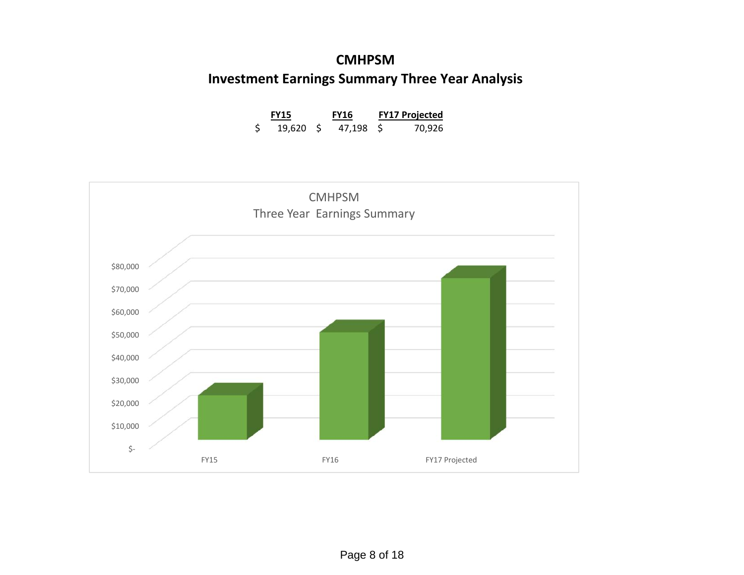# **CMHPSM Investment Earnings Summary Three Year Analysis**

| <b>FY15</b> | <b>FY16</b> | <b>FY17 Projected</b> |
|-------------|-------------|-----------------------|
| 19,620 \$   | 47.198 S    | 70,926                |

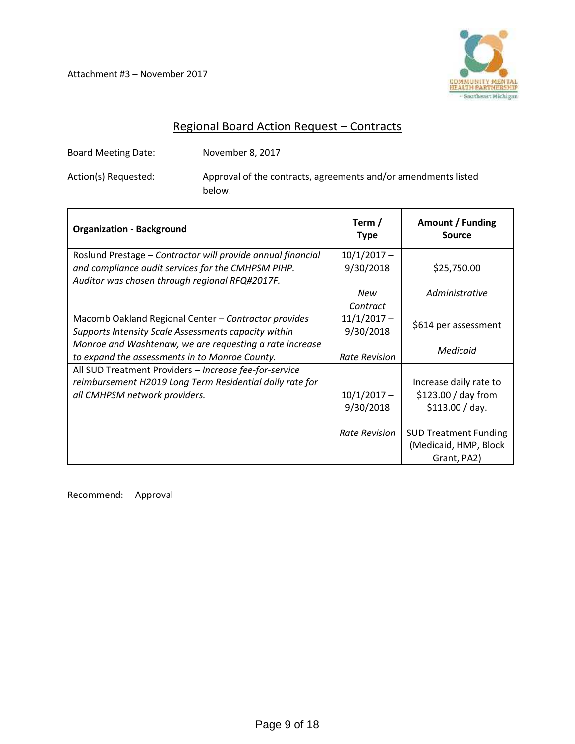Attachment #3 – November 2017



# Regional Board Action Request – Contracts

Board Meeting Date: November 8, 2017

Action(s) Requested: Approval of the contracts, agreements and/or amendments listed below.

| <b>Organization - Background</b>                                                                     | Term /<br><b>Type</b>      | Amount / Funding<br>Source   |
|------------------------------------------------------------------------------------------------------|----------------------------|------------------------------|
| Roslund Prestage - Contractor will provide annual financial                                          | $10/1/2017 -$<br>9/30/2018 | \$25,750.00                  |
| and compliance audit services for the CMHPSM PIHP.<br>Auditor was chosen through regional RFQ#2017F. |                            |                              |
|                                                                                                      | New                        | Administrative               |
|                                                                                                      | Contract                   |                              |
| Macomb Oakland Regional Center - Contractor provides                                                 | $11/1/2017 -$              | \$614 per assessment         |
| Supports Intensity Scale Assessments capacity within                                                 | 9/30/2018                  |                              |
| Monroe and Washtenaw, we are requesting a rate increase                                              |                            | Medicaid                     |
| to expand the assessments in to Monroe County.                                                       | Rate Revision              |                              |
| All SUD Treatment Providers - Increase fee-for-service                                               |                            |                              |
| reimbursement H2019 Long Term Residential daily rate for                                             |                            | Increase daily rate to       |
| all CMHPSM network providers.                                                                        | $10/1/2017 -$              | \$123.00 / day from          |
|                                                                                                      | 9/30/2018                  | \$113.00 / day.              |
|                                                                                                      | Rate Revision              | <b>SUD Treatment Funding</b> |
|                                                                                                      |                            | (Medicaid, HMP, Block        |
|                                                                                                      |                            | Grant, PA2)                  |

Recommend: Approval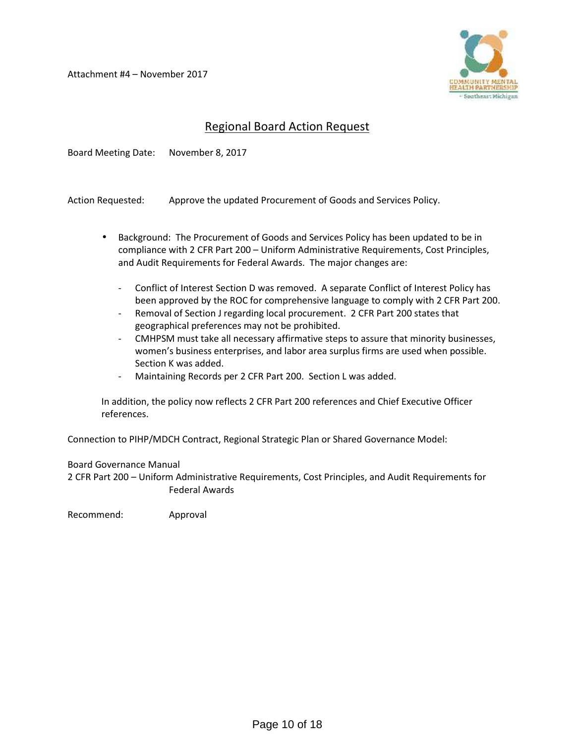Attachment #4 – November 2017



## Regional Board Action Request

Board Meeting Date: November 8, 2017

Action Requested: Approve the updated Procurement of Goods and Services Policy.

- Background: The Procurement of Goods and Services Policy has been updated to be in compliance with 2 CFR Part 200 – Uniform Administrative Requirements, Cost Principles, and Audit Requirements for Federal Awards. The major changes are:
	- Conflict of Interest Section D was removed. A separate Conflict of Interest Policy has been approved by the ROC for comprehensive language to comply with 2 CFR Part 200.
	- Removal of Section J regarding local procurement. 2 CFR Part 200 states that geographical preferences may not be prohibited.
	- CMHPSM must take all necessary affirmative steps to assure that minority businesses, women's business enterprises, and labor area surplus firms are used when possible. Section K was added.
	- Maintaining Records per 2 CFR Part 200. Section L was added.

In addition, the policy now reflects 2 CFR Part 200 references and Chief Executive Officer references.

Connection to PIHP/MDCH Contract, Regional Strategic Plan or Shared Governance Model:

#### Board Governance Manual

2 CFR Part 200 – Uniform Administrative Requirements, Cost Principles, and Audit Requirements for Federal Awards

Recommend: Approval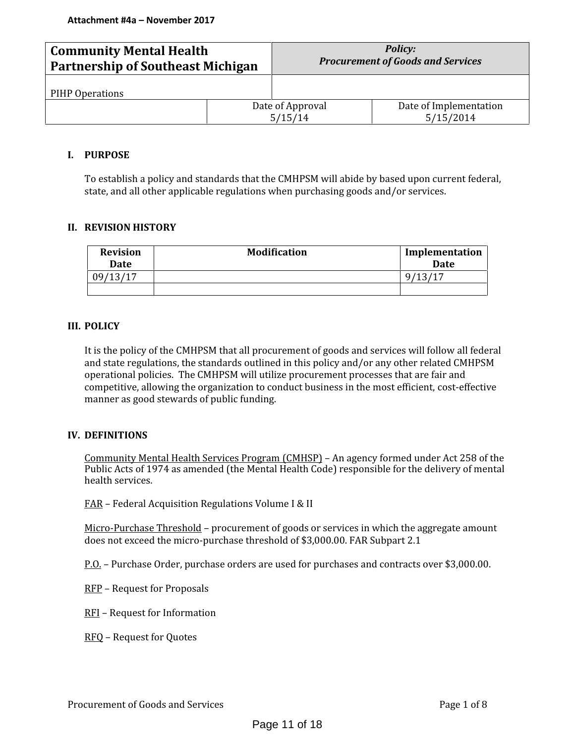| <b>Community Mental Health</b><br><b>Partnership of Southeast Michigan</b> |  | <b>Policy:</b><br><b>Procurement of Goods and Services</b> |                                     |  |
|----------------------------------------------------------------------------|--|------------------------------------------------------------|-------------------------------------|--|
| PIHP Operations                                                            |  |                                                            |                                     |  |
|                                                                            |  | Date of Approval<br>5/15/14                                | Date of Implementation<br>5/15/2014 |  |

#### **I. PURPOSE**

To establish a policy and standards that the CMHPSM will abide by based upon current federal, state, and all other applicable regulations when purchasing goods and/or services.

#### **II. REVISION HISTORY**

| <b>Revision</b><br>Date | <b>Modification</b> | Implementation<br>Date |
|-------------------------|---------------------|------------------------|
| 09/13/17                |                     | 9,                     |
|                         |                     |                        |

#### **III. POLICY**

It is the policy of the CMHPSM that all procurement of goods and services will follow all federal and state regulations, the standards outlined in this policy and/or any other related CMHPSM operational policies. The CMHPSM will utilize procurement processes that are fair and competitive, allowing the organization to conduct business in the most efficient, cost-effective manner as good stewards of public funding.

#### **IV. DEFINITIONS**

Community Mental Health Services Program (CMHSP) – An agency formed under Act 258 of the Public Acts of 1974 as amended (the Mental Health Code) responsible for the delivery of mental health services.

FAR – Federal Acquisition Regulations Volume I & II

Micro-Purchase Threshold – procurement of goods or services in which the aggregate amount does not exceed the micro-purchase threshold of \$3,000.00. FAR Subpart 2.1

P.O. – Purchase Order, purchase orders are used for purchases and contracts over \$3,000.00.

- RFP Request for Proposals
- RFI Request for Information
- RFQ Request for Quotes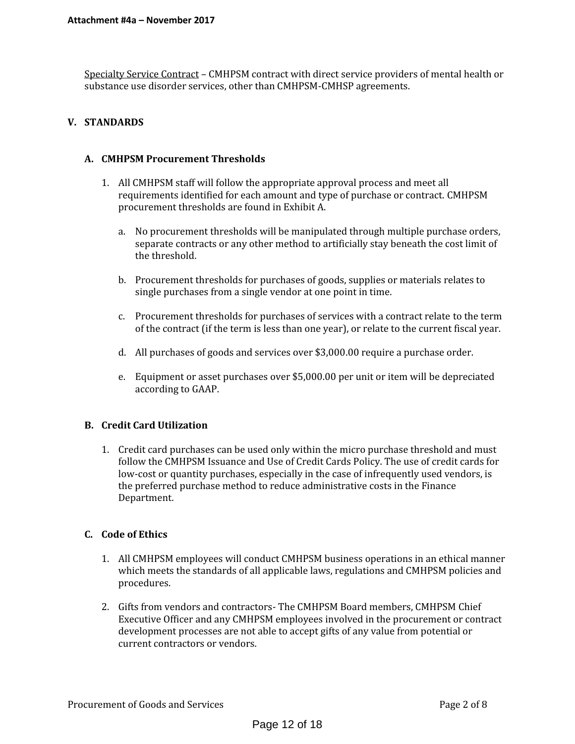Specialty Service Contract – CMHPSM contract with direct service providers of mental health or substance use disorder services, other than CMHPSM-CMHSP agreements.

#### **V. STANDARDS**

#### **A. CMHPSM Procurement Thresholds**

- 1. All CMHPSM staff will follow the appropriate approval process and meet all requirements identified for each amount and type of purchase or contract. CMHPSM procurement thresholds are found in Exhibit A.
	- a. No procurement thresholds will be manipulated through multiple purchase orders, separate contracts or any other method to artificially stay beneath the cost limit of the threshold.
	- b. Procurement thresholds for purchases of goods, supplies or materials relates to single purchases from a single vendor at one point in time.
	- c. Procurement thresholds for purchases of services with a contract relate to the term of the contract (if the term is less than one year), or relate to the current fiscal year.
	- d. All purchases of goods and services over \$3,000.00 require a purchase order.
	- e. Equipment or asset purchases over \$5,000.00 per unit or item will be depreciated according to GAAP.

#### **B. Credit Card Utilization**

1. Credit card purchases can be used only within the micro purchase threshold and must follow the CMHPSM Issuance and Use of Credit Cards Policy. The use of credit cards for low-cost or quantity purchases, especially in the case of infrequently used vendors, is the preferred purchase method to reduce administrative costs in the Finance Department.

#### **C. Code of Ethics**

- 1. All CMHPSM employees will conduct CMHPSM business operations in an ethical manner which meets the standards of all applicable laws, regulations and CMHPSM policies and procedures.
- 2. Gifts from vendors and contractors- The CMHPSM Board members, CMHPSM Chief Executive Officer and any CMHPSM employees involved in the procurement or contract development processes are not able to accept gifts of any value from potential or current contractors or vendors.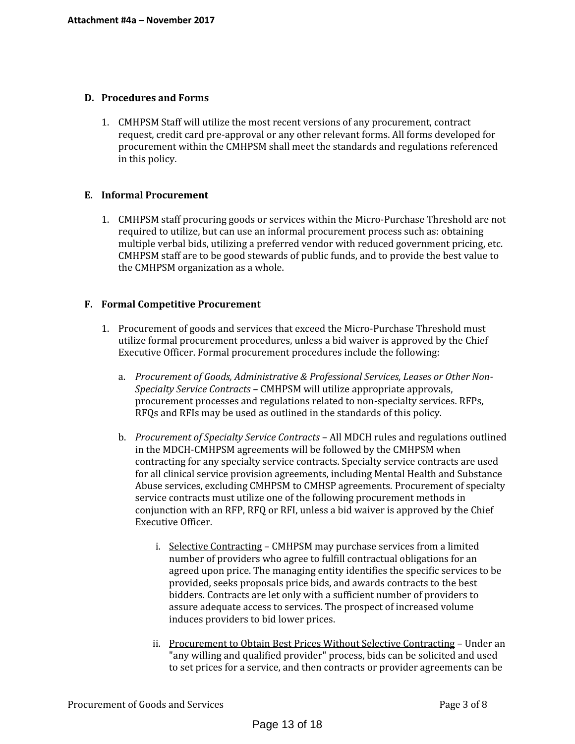#### **D. Procedures and Forms**

1. CMHPSM Staff will utilize the most recent versions of any procurement, contract request, credit card pre-approval or any other relevant forms. All forms developed for procurement within the CMHPSM shall meet the standards and regulations referenced in this policy.

#### **E. Informal Procurement**

1. CMHPSM staff procuring goods or services within the Micro-Purchase Threshold are not required to utilize, but can use an informal procurement process such as: obtaining multiple verbal bids, utilizing a preferred vendor with reduced government pricing, etc. CMHPSM staff are to be good stewards of public funds, and to provide the best value to the CMHPSM organization as a whole.

#### **F. Formal Competitive Procurement**

- 1. Procurement of goods and services that exceed the Micro-Purchase Threshold must utilize formal procurement procedures, unless a bid waiver is approved by the Chief Executive Officer. Formal procurement procedures include the following:
	- a. *Procurement of Goods, Administrative & Professional Services, Leases or Other Non- Specialty Service Contracts* CMHPSM will utilize appropriate approvals, procurement processes and regulations related to non-specialty services. RFPs, RFQs and RFIs may be used as outlined in the standards of this policy.
	- b. *Procurement of Specialty Service Contracts* All MDCH rules and regulations outlined in the MDCH-CMHPSM agreements will be followed by the CMHPSM when contracting for any specialty service contracts. Specialty service contracts are used for all clinical service provision agreements, including Mental Health and Substance Abuse services, excluding CMHPSM to CMHSP agreements. Procurement of specialty service contracts must utilize one of the following procurement methods in conjunction with an RFP, RFQ or RFI, unless a bid waiver is approved by the Chief Executive Officer.
		- i. Selective Contracting CMHPSM may purchase services from a limited number of providers who agree to fulfill contractual obligations for an agreed upon price. The managing entity identifies the specific services to be provided, seeks proposals price bids, and awards contracts to the best bidders. Contracts are let only with a sufficient number of providers to assure adequate access to services. The prospect of increased volume induces providers to bid lower prices.
		- ii. Procurement to Obtain Best Prices Without Selective Contracting Under an "any willing and qualified provider" process, bids can be solicited and used to set prices for a service, and then contracts or provider agreements can be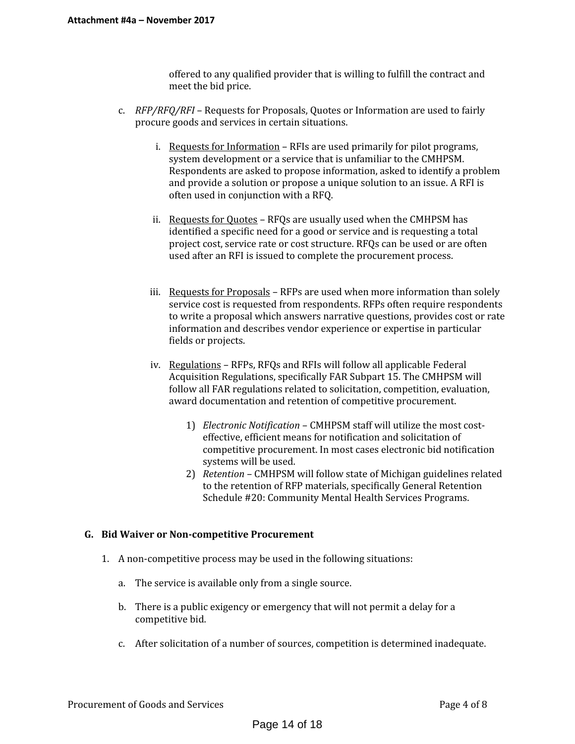offered to any qualified provider that is willing to fulfill the contract and meet the bid price.

- c. *RFP/RFQ/RFI* Requests for Proposals, Quotes or Information are used to fairly procure goods and services in certain situations.
	- i. Requests for Information RFIs are used primarily for pilot programs, system development or a service that is unfamiliar to the CMHPSM. Respondents are asked to propose information, asked to identify a problem and provide a solution or propose a unique solution to an issue. A RFI is often used in conjunction with a RFQ.
	- ii. Requests for Quotes RFQs are usually used when the CMHPSM has identified a specific need for a good or service and is requesting a total project cost, service rate or cost structure. RFQs can be used or are often used after an RFI is issued to complete the procurement process.
	- iii. Requests for Proposals RFPs are used when more information than solely service cost is requested from respondents. RFPs often require respondents to write a proposal which answers narrative questions, provides cost or rate information and describes vendor experience or expertise in particular fields or projects.
	- iv. Regulations RFPs, RFQs and RFIs will follow all applicable Federal Acquisition Regulations, specifically FAR Subpart 15. The CMHPSM will follow all FAR regulations related to solicitation, competition, evaluation, award documentation and retention of competitive procurement.
		- 1) *Electronic Notification* CMHPSM staff will utilize the most cost effective, efficient means for notification and solicitation of competitive procurement. In most cases electronic bid notification systems will be used.
		- 2) *Retention* CMHPSM will follow state of Michigan guidelines related to the retention of RFP materials, specifically General Retention Schedule #20: Community Mental Health Services Programs.

#### **G. Bid Waiver or Non-competitive Procurement**

- 1. A non-competitive process may be used in the following situations:
	- a. The service is available only from a single source.
	- b. There is a public exigency or emergency that will not permit a delay for a competitive bid.
	- c. After solicitation of a number of sources, competition is determined inadequate.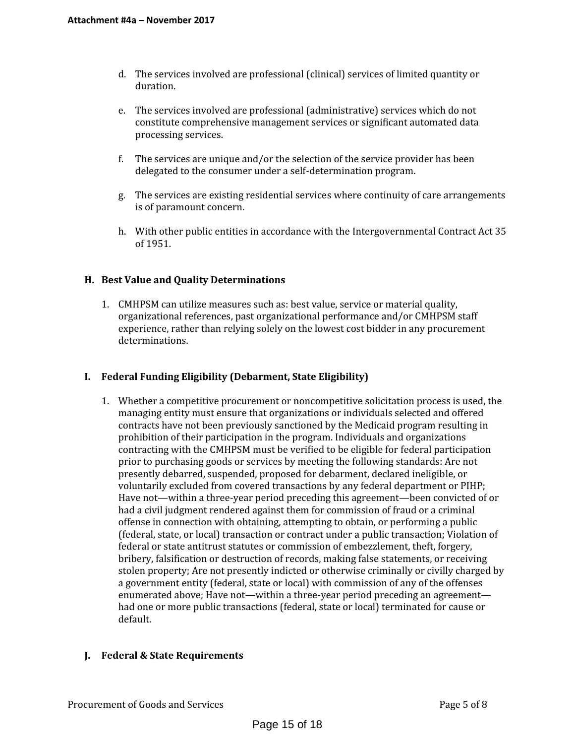- d. The services involved are professional (clinical) services of limited quantity or duration.
- e. The services involved are professional (administrative) services which do not constitute comprehensive management services or significant automated data processing services.
- f. The services are unique and/or the selection of the service provider has been delegated to the consumer under a self-determination program.
- g. The services are existing residential services where continuity of care arrangements is of paramount concern.
- h. With other public entities in accordance with the Intergovernmental Contract Act 35 of 1951.

#### **H. Best Value and Quality Determinations**

1. CMHPSM can utilize measures such as: best value, service or material quality, organizational references, past organizational performance and/or CMHPSM staff experience, rather than relying solely on the lowest cost bidder in any procurement determinations.

## **I. Federal Funding Eligibility (Debarment, State Eligibility)**

1. Whether a competitive procurement or noncompetitive solicitation process is used, the managing entity must ensure that organizations or individuals selected and offered contracts have not been previously sanctioned by the Medicaid program resulting in prohibition of their participation in the program. Individuals and organizations contracting with the CMHPSM must be verified to be eligible for federal participation prior to purchasing goods or services by meeting the following standards: Are not presently debarred, suspended, proposed for debarment, declared ineligible, or voluntarily excluded from covered transactions by any federal department or PIHP; Have not—within a three-year period preceding this agreement—been convicted of or had a civil judgment rendered against them for commission of fraud or a criminal offense in connection with obtaining, attempting to obtain, or performing a public (federal, state, or local) transaction or contract under a public transaction; Violation of federal or state antitrust statutes or commission of embezzlement, theft, forgery, bribery, falsification or destruction of records, making false statements, or receiving stolen property; Are not presently indicted or otherwise criminally or civilly charged by a government entity (federal, state or local) with commission of any of the offenses enumerated above; Have not—within a three-year period preceding an agreement had one or more public transactions (federal, state or local) terminated for cause or default.

#### **J. Federal & State Requirements**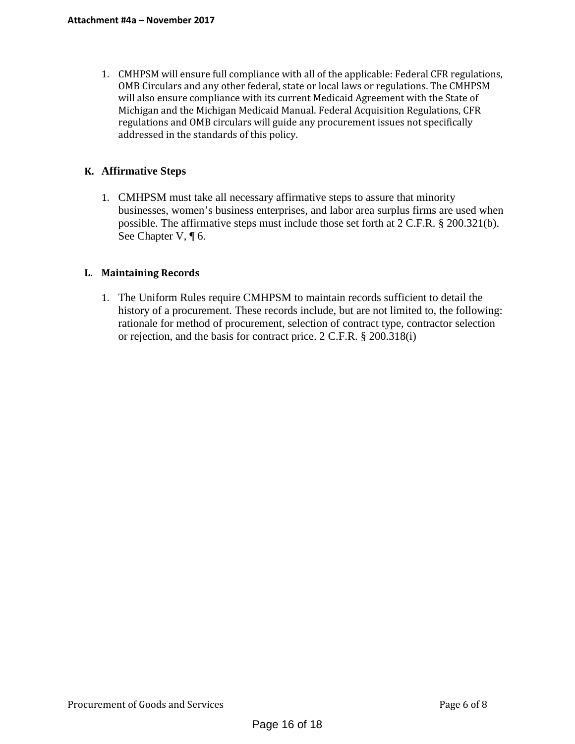1. CMHPSM will ensure full compliance with all of the applicable: Federal CFR regulations, OMB Circulars and any other federal, state or local laws or regulations. The CMHPSM will also ensure compliance with its current Medicaid Agreement with the State of Michigan and the Michigan Medicaid Manual. Federal Acquisition Regulations, CFR regulations and OMB circulars will guide any procurement issues not specifically addressed in the standards of this policy.

## **K. Affirmative Steps**

1. CMHPSM must take all necessary affirmative steps to assure that minority businesses, women's business enterprises, and labor area surplus firms are used when possible. The affirmative steps must include those set forth at 2 C.F.R. § 200.321(b). See Chapter V, ¶ 6.

### **L. Maintaining Records**

1. The Uniform Rules require CMHPSM to maintain records sufficient to detail the history of a procurement. These records include, but are not limited to, the following: rationale for method of procurement, selection of contract type, contractor selection or rejection, and the basis for contract price. 2 C.F.R. § 200.318(i)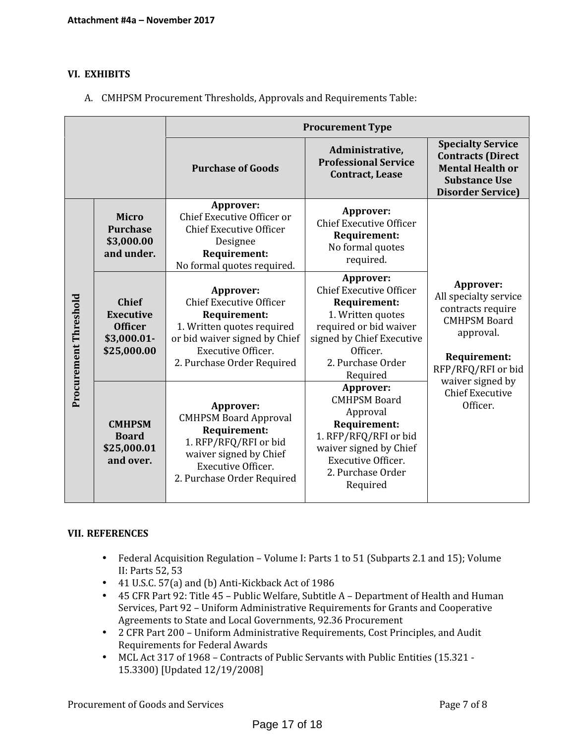#### **VI. EXHIBITS**

A. CMHPSM Procurement Thresholds, Approvals and Requirements Table:

|                       |                                                                                  | <b>Procurement Type</b>                                                                                                                                                                      |                                                                                                                                                                                      |                                                                                                                                          |  |
|-----------------------|----------------------------------------------------------------------------------|----------------------------------------------------------------------------------------------------------------------------------------------------------------------------------------------|--------------------------------------------------------------------------------------------------------------------------------------------------------------------------------------|------------------------------------------------------------------------------------------------------------------------------------------|--|
|                       |                                                                                  | <b>Purchase of Goods</b>                                                                                                                                                                     | Administrative,<br><b>Professional Service</b><br><b>Contract, Lease</b>                                                                                                             | <b>Specialty Service</b><br><b>Contracts (Direct</b><br><b>Mental Health or</b><br><b>Substance Use</b><br><b>Disorder Service)</b>      |  |
| Procurement Threshold | <b>Micro</b><br><b>Purchase</b><br>\$3,000.00<br>and under.                      | Approver:<br>Chief Executive Officer or<br><b>Chief Executive Officer</b><br>Designee<br><b>Requirement:</b><br>No formal quotes required.                                                   | Approver:<br><b>Chief Executive Officer</b><br>Requirement:<br>No formal quotes<br>required.                                                                                         | Approver:<br>All specialty service<br>contracts require<br><b>CMHPSM Board</b><br>approval.<br><b>Requirement:</b><br>RFP/RFQ/RFI or bid |  |
|                       | <b>Chief</b><br><b>Executive</b><br><b>Officer</b><br>\$3,000.01-<br>\$25,000.00 | Approver:<br><b>Chief Executive Officer</b><br><b>Requirement:</b><br>1. Written quotes required<br>or bid waiver signed by Chief<br><b>Executive Officer.</b><br>2. Purchase Order Required | Approver:<br><b>Chief Executive Officer</b><br>Requirement:<br>1. Written quotes<br>required or bid waiver<br>signed by Chief Executive<br>Officer.<br>2. Purchase Order<br>Required |                                                                                                                                          |  |
|                       | <b>CMHPSM</b><br><b>Board</b><br>\$25,000.01<br>and over.                        | Approver:<br><b>CMHPSM Board Approval</b><br><b>Requirement:</b><br>1. RFP/RFQ/RFI or bid<br>waiver signed by Chief<br>Executive Officer.<br>2. Purchase Order Required                      | Approver:<br><b>CMHPSM Board</b><br>Approval<br>Requirement:<br>1. RFP/RFQ/RFI or bid<br>waiver signed by Chief<br>Executive Officer.<br>2. Purchase Order<br>Required               | waiver signed by<br><b>Chief Executive</b><br>Officer.                                                                                   |  |

#### **VII. REFERENCES**

- Federal Acquisition Regulation Volume I: Parts 1 to 51 (Subparts 2.1 and 15); Volume II: Parts 52, 53
- 41 U.S.C. 57(a) and (b) Anti-Kickback Act of 1986
- 45 CFR Part 92: Title 45 Public Welfare, Subtitle A Department of Health and Human Services, Part 92 – Uniform Administrative Requirements for Grants and Cooperative Agreements to State and Local Governments, 92.36 Procurement
- 2 CFR Part 200 Uniform Administrative Requirements, Cost Principles, and Audit Requirements for Federal Awards
- MCL Act 317 of 1968 Contracts of Public Servants with Public Entities (15.321 15.3300) [Updated 12/19/2008]